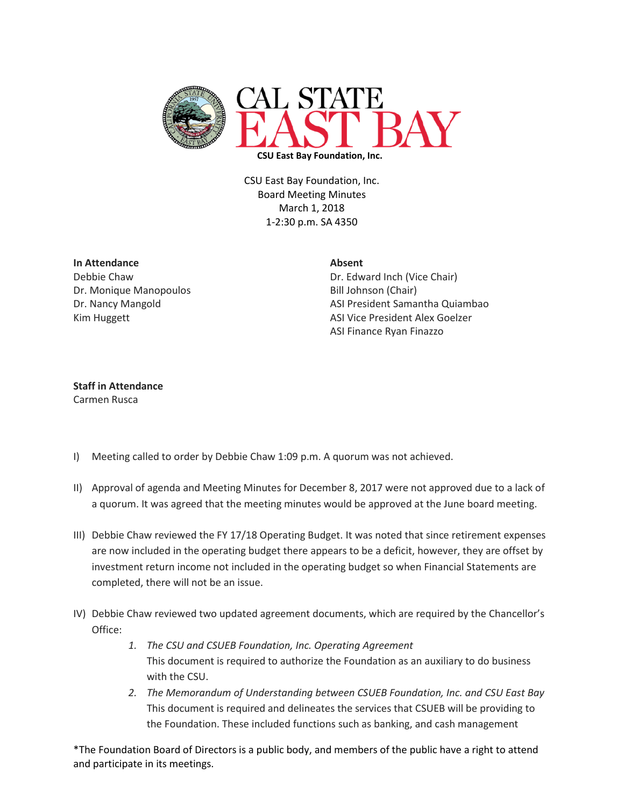

CSU East Bay Foundation, Inc. Board Meeting Minutes March 1, 2018 1-2:30 p.m. SA 4350

## **In Attendance Absent**

Dr. Monique Manopoulos Bill Johnson (Chair)

Debbie Chaw Dr. Edward Inch (Vice Chair) Dr. Nancy Mangold ASI President Samantha Quiambao Kim Huggett **ASI Vice President Alex Goelzer** ASI Finance Ryan Finazzo

## **Staff in Attendance** Carmen Rusca

- I) Meeting called to order by Debbie Chaw 1:09 p.m. A quorum was not achieved.
- II) Approval of agenda and Meeting Minutes for December 8, 2017 were not approved due to a lack of a quorum. It was agreed that the meeting minutes would be approved at the June board meeting.
- III) Debbie Chaw reviewed the FY 17/18 Operating Budget. It was noted that since retirement expenses are now included in the operating budget there appears to be a deficit, however, they are offset by investment return income not included in the operating budget so when Financial Statements are completed, there will not be an issue.
- IV) Debbie Chaw reviewed two updated agreement documents, which are required by the Chancellor's Office:
	- *1. The CSU and CSUEB Foundation, Inc. Operating Agreement* This document is required to authorize the Foundation as an auxiliary to do business with the CSU.
	- *2. The Memorandum of Understanding between CSUEB Foundation, Inc. and CSU East Bay* This document is required and delineates the services that CSUEB will be providing to the Foundation. These included functions such as banking, and cash management

\*The Foundation Board of Directors is a public body, and members of the public have a right to attend and participate in its meetings.